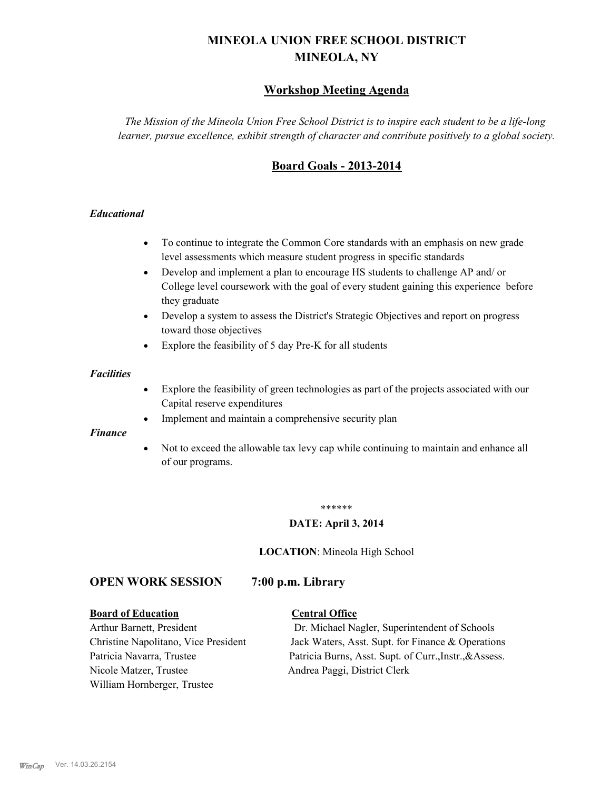# **MINEOLA UNION FREE SCHOOL DISTRICT MINEOLA, NY**

# **Workshop Meeting Agenda**

*The Mission of the Mineola Union Free School District is to inspire each student to be a life-long learner, pursue excellence, exhibit strength of character and contribute positively to a global society.*

# **Board Goals - 2013-2014**

#### *Educational*

- · To continue to integrate the Common Core standards with an emphasis on new grade level assessments which measure student progress in specific standards
- · Develop and implement a plan to encourage HS students to challenge AP and/ or College level coursework with the goal of every student gaining this experience before they graduate
- Develop a system to assess the District's Strategic Objectives and report on progress toward those objectives
- · Explore the feasibility of 5 day Pre-K for all students

#### *Facilities*

- · Explore the feasibility of green technologies as part of the projects associated with our Capital reserve expenditures
- Implement and maintain a comprehensive security plan

#### *Finance*

• Not to exceed the allowable tax levy cap while continuing to maintain and enhance all of our programs.

#### \*\*\*\*\*\*

#### **DATE: April 3, 2014**

**LOCATION**: Mineola High School

# **OPEN WORK SESSION 7:00 p.m. Library**

#### **Board of Education Central Office**

Nicole Matzer, Trustee Andrea Paggi, District Clerk William Hornberger, Trustee

Arthur Barnett, President Dr. Michael Nagler, Superintendent of Schools Christine Napolitano, Vice President Jack Waters, Asst. Supt. for Finance & Operations Patricia Navarra, Trustee Patricia Burns, Asst. Supt. of Curr., Instr., &Assess.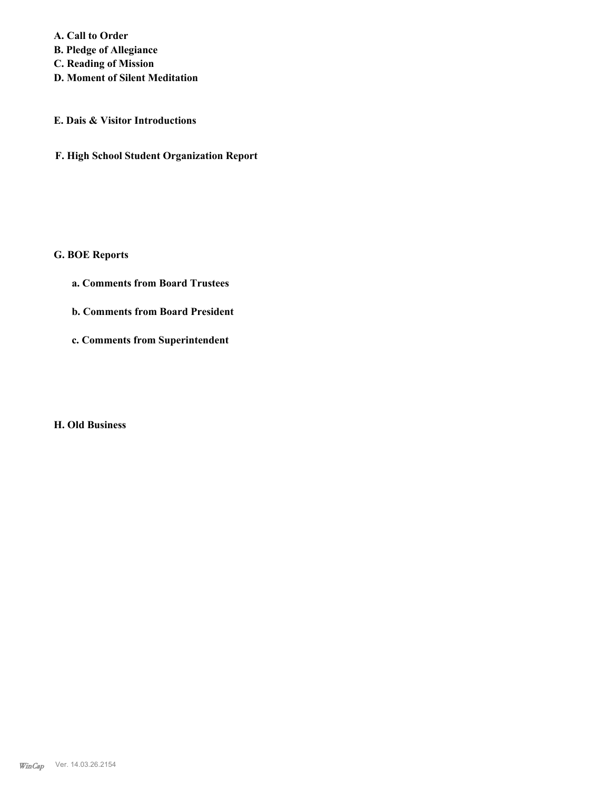**A. Call to Order B. Pledge of Allegiance C. Reading of Mission**

**D. Moment of Silent Meditation**

## **E. Dais & Visitor Introductions**

**F. High School Student Organization Report**

# **G. BOE Reports**

- **a. Comments from Board Trustees**
- **b. Comments from Board President**
- **c. Comments from Superintendent**

# **H. Old Business**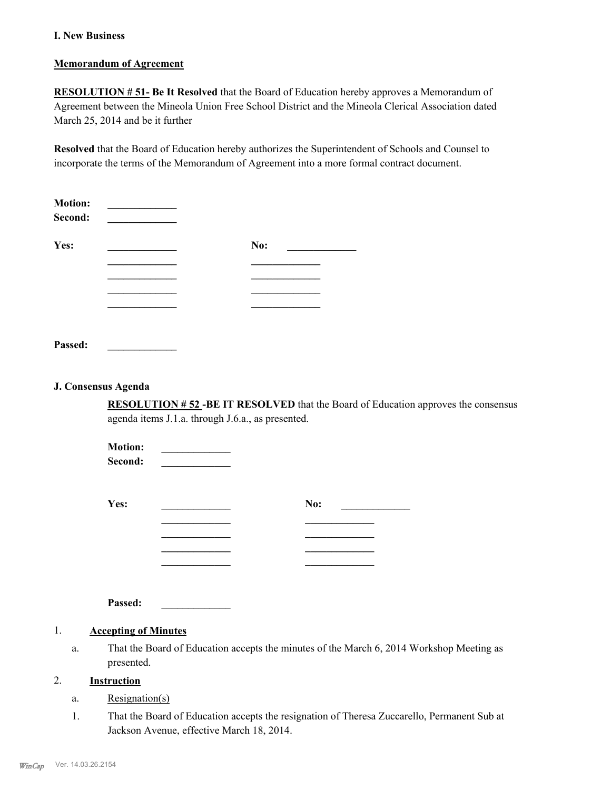#### **I. New Business**

#### **Memorandum of Agreement**

**RESOLUTION # 51- Be It Resolved** that the Board of Education hereby approves a Memorandum of Agreement between the Mineola Union Free School District and the Mineola Clerical Association dated March 25, 2014 and be it further

**Resolved** that the Board of Education hereby authorizes the Superintendent of Schools and Counsel to incorporate the terms of the Memorandum of Agreement into a more formal contract document.

| <b>Motion:</b><br>Second: |     |  |
|---------------------------|-----|--|
| Yes:                      | No: |  |
|                           |     |  |
|                           |     |  |
|                           |     |  |
|                           |     |  |
|                           |     |  |
| Passed:                   |     |  |

#### **J. Consensus Agenda**

**RESOLUTION # 52 -BE IT RESOLVED** that the Board of Education approves the consensus agenda items J.1.a. through J.6.a., as presented.

| No: |  |
|-----|--|
|     |  |
|     |  |
|     |  |
|     |  |
|     |  |

**Passed: \_\_\_\_\_\_\_\_\_\_\_\_\_**

# 1. **Accepting of Minutes**

That the Board of Education accepts the minutes of the March 6, 2014 Workshop Meeting as presented. a.

## 2. **Instruction**

- a. Resignation(s)
- That the Board of Education accepts the resignation of Theresa Zuccarello, Permanent Sub at Jackson Avenue, effective March 18, 2014. 1.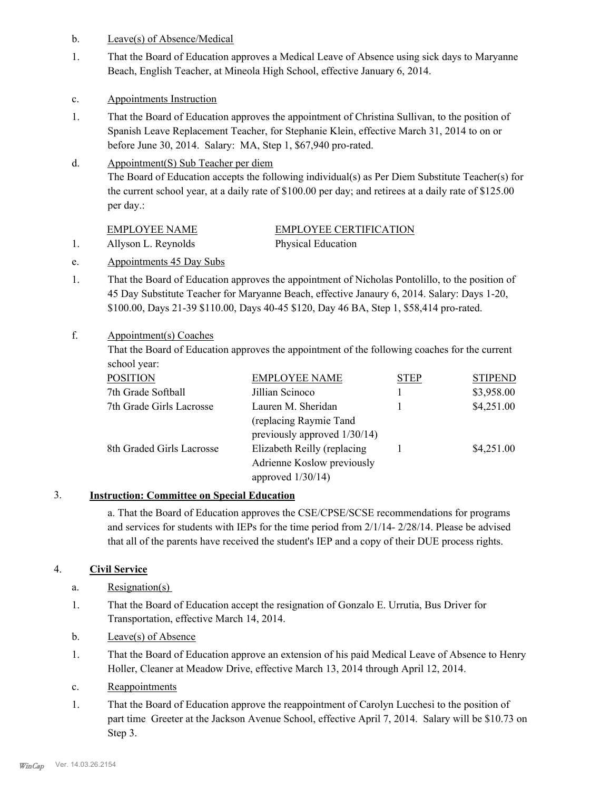- b. Leave(s) of Absence/Medical
- That the Board of Education approves a Medical Leave of Absence using sick days to Maryanne Beach, English Teacher, at Mineola High School, effective January 6, 2014. 1.
- c. Appointments Instruction
- That the Board of Education approves the appointment of Christina Sullivan, to the position of Spanish Leave Replacement Teacher, for Stephanie Klein, effective March 31, 2014 to on or before June 30, 2014. Salary: MA, Step 1, \$67,940 pro-rated. 1.
- Appointment(S) Sub Teacher per diem d.

The Board of Education accepts the following individual(s) as Per Diem Substitute Teacher(s) for the current school year, at a daily rate of \$100.00 per day; and retirees at a daily rate of \$125.00 per day.:

| EMPLOYEE NAME       | <b>EMPLOYEE CERTIFICATION</b> |
|---------------------|-------------------------------|
| Allyson L. Reynolds | Physical Education            |

- e. Appointments 45 Day Subs
- That the Board of Education approves the appointment of Nicholas Pontolillo, to the position of 45 Day Substitute Teacher for Maryanne Beach, effective Janaury 6, 2014. Salary: Days 1-20, \$100.00, Days 21-39 \$110.00, Days 40-45 \$120, Day 46 BA, Step 1, \$58,414 pro-rated. 1.

#### Appointment(s) Coaches f.

That the Board of Education approves the appointment of the following coaches for the current school year:

| <b>POSITION</b>           | <b>EMPLOYEE NAME</b>         | <b>STEP</b> | <b>STIPEND</b> |
|---------------------------|------------------------------|-------------|----------------|
| 7th Grade Softball        | Jillian Scinoco              |             | \$3,958.00     |
| 7th Grade Girls Lacrosse  | Lauren M. Sheridan           |             | \$4,251.00     |
|                           | (replacing Raymie Tand       |             |                |
|                           | previously approved 1/30/14) |             |                |
| 8th Graded Girls Lacrosse | Elizabeth Reilly (replacing  |             | \$4,251.00     |
|                           | Adrienne Koslow previously   |             |                |
|                           | approved $1/30/14$ )         |             |                |

## 3. **Instruction: Committee on Special Education**

a. That the Board of Education approves the CSE/CPSE/SCSE recommendations for programs and services for students with IEPs for the time period from 2/1/14- 2/28/14. Please be advised that all of the parents have received the student's IEP and a copy of their DUE process rights.

#### 4. **Civil Service**

- a. Resignation(s)
- That the Board of Education accept the resignation of Gonzalo E. Urrutia, Bus Driver for Transportation, effective March 14, 2014. 1.
- b. Leave(s) of Absence
- That the Board of Education approve an extension of his paid Medical Leave of Absence to Henry Holler, Cleaner at Meadow Drive, effective March 13, 2014 through April 12, 2014. 1.
- c. Reappointments
- That the Board of Education approve the reappointment of Carolyn Lucchesi to the position of part time Greeter at the Jackson Avenue School, effective April 7, 2014. Salary will be \$10.73 on Step 3. 1.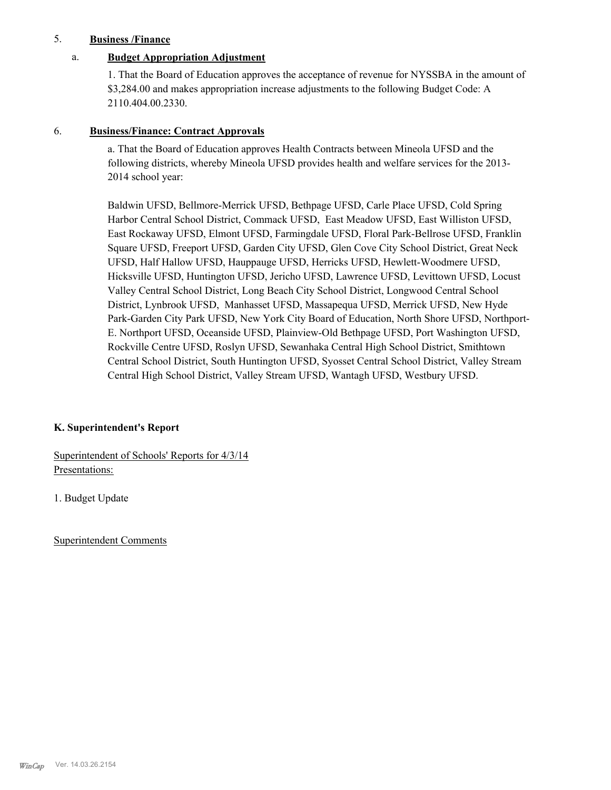#### 5. **Business /Finance**

#### a. **Budget Appropriation Adjustment**

1. That the Board of Education approves the acceptance of revenue for NYSSBA in the amount of \$3,284.00 and makes appropriation increase adjustments to the following Budget Code: A 2110.404.00.2330.

#### 6. **Business/Finance: Contract Approvals**

a. That the Board of Education approves Health Contracts between Mineola UFSD and the following districts, whereby Mineola UFSD provides health and welfare services for the 2013- 2014 school year:

Baldwin UFSD, Bellmore-Merrick UFSD, Bethpage UFSD, Carle Place UFSD, Cold Spring Harbor Central School District, Commack UFSD, East Meadow UFSD, East Williston UFSD, East Rockaway UFSD, Elmont UFSD, Farmingdale UFSD, Floral Park-Bellrose UFSD, Franklin Square UFSD, Freeport UFSD, Garden City UFSD, Glen Cove City School District, Great Neck UFSD, Half Hallow UFSD, Hauppauge UFSD, Herricks UFSD, Hewlett-Woodmere UFSD, Hicksville UFSD, Huntington UFSD, Jericho UFSD, Lawrence UFSD, Levittown UFSD, Locust Valley Central School District, Long Beach City School District, Longwood Central School District, Lynbrook UFSD, Manhasset UFSD, Massapequa UFSD, Merrick UFSD, New Hyde Park-Garden City Park UFSD, New York City Board of Education, North Shore UFSD, Northport-E. Northport UFSD, Oceanside UFSD, Plainview-Old Bethpage UFSD, Port Washington UFSD, Rockville Centre UFSD, Roslyn UFSD, Sewanhaka Central High School District, Smithtown Central School District, South Huntington UFSD, Syosset Central School District, Valley Stream Central High School District, Valley Stream UFSD, Wantagh UFSD, Westbury UFSD.

#### **K. Superintendent's Report**

Superintendent of Schools' Reports for 4/3/14 Presentations:

1. Budget Update

Superintendent Comments